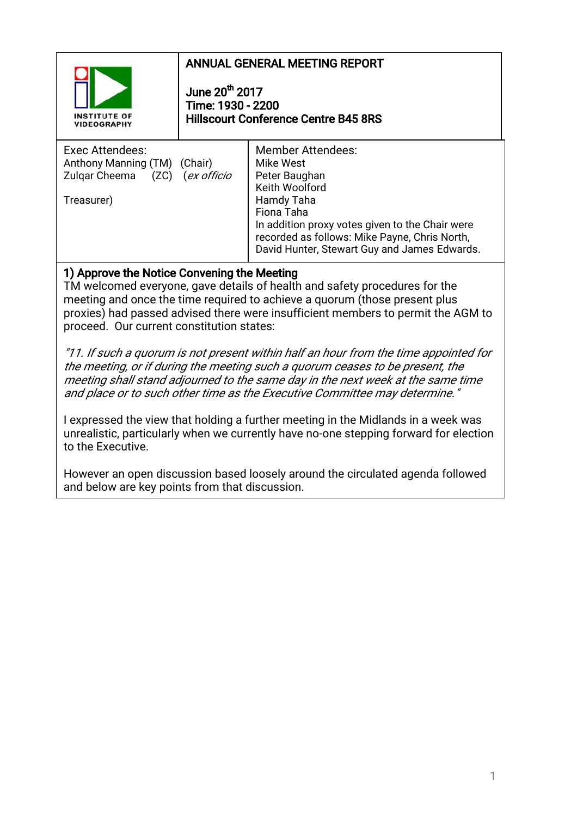

## ANNUAL GENERAL MEETING REPORT

June  $20<sup>th</sup>$  2017 Time:1930-2200 Hillscourt Conference Centre B45 8RS

| Exec Attendees:<br>Anthony Manning (TM)<br>(Chair)<br>$(ZC)$ (ex officio<br>Zulgar Cheema<br>Treasurer) | <b>Member Attendees:</b><br>Mike West<br>Peter Baughan<br>Keith Woolford<br>Hamdy Taha<br>Fiona Taha<br>In addition proxy votes given to the Chair were<br>recorded as follows: Mike Payne, Chris North,<br>David Hunter, Stewart Guy and James Edwards. |
|---------------------------------------------------------------------------------------------------------|----------------------------------------------------------------------------------------------------------------------------------------------------------------------------------------------------------------------------------------------------------|
|---------------------------------------------------------------------------------------------------------|----------------------------------------------------------------------------------------------------------------------------------------------------------------------------------------------------------------------------------------------------------|

## 1) Approve the Notice Convening the Meeting

TM welcomed everyone, gave details of health and safety procedures for the meeting and once the time required to achieve a quorum (those present plus proxies) had passed advised there were insufficient members to permit the AGM to proceed. Our current constitution states:

"11. If such a quorum is not present within half an hour from the time appointed for the meeting, or if during the meeting such a quorum ceases to be present, the meeting shall stand adjourned to the same day in the next week at the same time and place or to such other time as the Executive Committee may determine."

I expressed the view that holding a further meeting in the Midlands in a week was unrealistic, particularly when we currently have no-one stepping forward for election to the Executive.

However an open discussion based loosely around the circulated agenda followed and below are key points from that discussion.